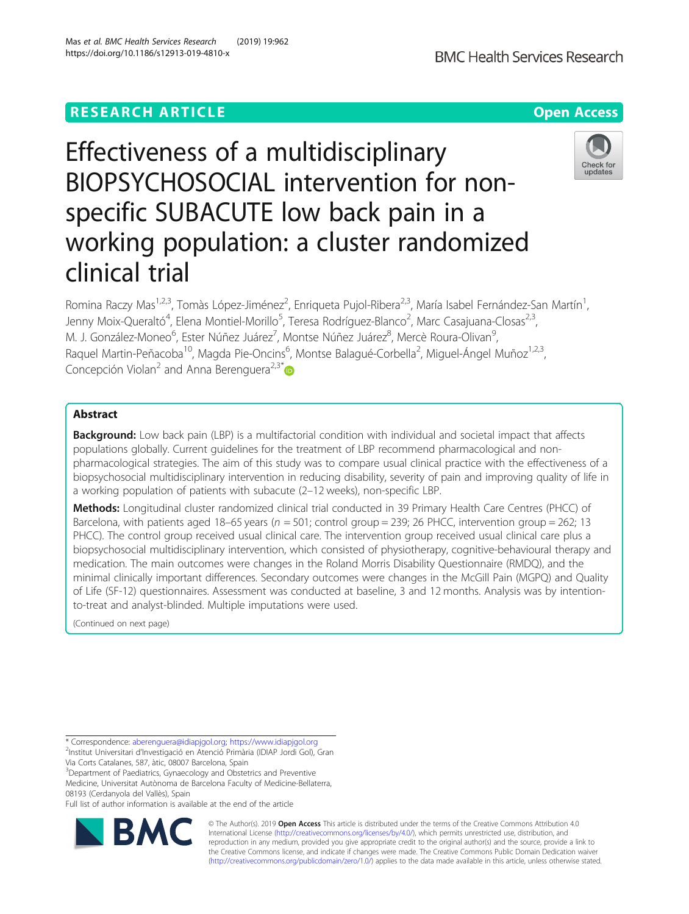# **RESEARCH ARTICLE Example 2014 12:30 The Contract of Contract ACCESS**

# Effectiveness of a multidisciplinary BIOPSYCHOSOCIAL intervention for nonspecific SUBACUTE low back pain in a working population: a cluster randomized clinical trial

Romina Raczy Mas<sup>1,2,3</sup>, Tomàs López-Jiménez<sup>2</sup>, Enriqueta Pujol-Ribera<sup>2,3</sup>, María Isabel Fernández-San Martín<sup>1</sup> , Jenny Moix-Queraltó<sup>4</sup>, Elena Montiel-Morillo<sup>5</sup>, Teresa Rodríguez-Blanco<sup>2</sup>, Marc Casajuana-Closas<sup>2,3</sup>, M. J. González-Moneo<sup>6</sup>, Ester Núñez Juárez<sup>7</sup>, Montse Núñez Juárez<sup>8</sup>, Mercè Roura-Olivan<sup>9</sup> , Raquel Martin-Peñacoba<sup>10</sup>, Magda Pie-Oncins<sup>6</sup>, Montse Balagué-Corbella<sup>2</sup>, Miguel-Ángel Muñoz<sup>1,2,3</sup>, Concepción Violan<sup>2</sup> and Anna Berenguera<sup>2,3\*</sup>

# Abstract

**Background:** Low back pain (LBP) is a multifactorial condition with individual and societal impact that affects populations globally. Current guidelines for the treatment of LBP recommend pharmacological and nonpharmacological strategies. The aim of this study was to compare usual clinical practice with the effectiveness of a biopsychosocial multidisciplinary intervention in reducing disability, severity of pain and improving quality of life in a working population of patients with subacute (2–12 weeks), non-specific LBP.

Methods: Longitudinal cluster randomized clinical trial conducted in 39 Primary Health Care Centres (PHCC) of Barcelona, with patients aged 18–65 years ( $n = 501$ ; control group = 239; 26 PHCC, intervention group = 262; 13 PHCC). The control group received usual clinical care. The intervention group received usual clinical care plus a biopsychosocial multidisciplinary intervention, which consisted of physiotherapy, cognitive-behavioural therapy and medication. The main outcomes were changes in the Roland Morris Disability Questionnaire (RMDQ), and the minimal clinically important differences. Secondary outcomes were changes in the McGill Pain (MGPQ) and Quality of Life (SF-12) questionnaires. Assessment was conducted at baseline, 3 and 12 months. Analysis was by intentionto-treat and analyst-blinded. Multiple imputations were used.

(Continued on next page)

\* Correspondence: [aberenguera@idiapjgol.org](mailto:aberenguera@idiapjgol.org); <https://www.idiapjgol.org> <sup>2</sup> <sup>2</sup>Institut Universitari d'Investigació en Atenció Primària (IDIAP Jordi Gol), Gran

Via Corts Catalanes, 587, àtic, 08007 Barcelona, Spain

<sup>3</sup>Department of Paediatrics, Gynaecology and Obstetrics and Preventive Medicine, Universitat Autònoma de Barcelona Faculty of Medicine-Bellaterra, 08193 (Cerdanyola del Vallès), Spain

Full list of author information is available at the end of the article



© The Author(s). 2019 **Open Access** This article is distributed under the terms of the Creative Commons Attribution 4.0 International License [\(http://creativecommons.org/licenses/by/4.0/](http://creativecommons.org/licenses/by/4.0/)), which permits unrestricted use, distribution, and reproduction in any medium, provided you give appropriate credit to the original author(s) and the source, provide a link to the Creative Commons license, and indicate if changes were made. The Creative Commons Public Domain Dedication waiver [\(http://creativecommons.org/publicdomain/zero/1.0/](http://creativecommons.org/publicdomain/zero/1.0/)) applies to the data made available in this article, unless otherwise stated.



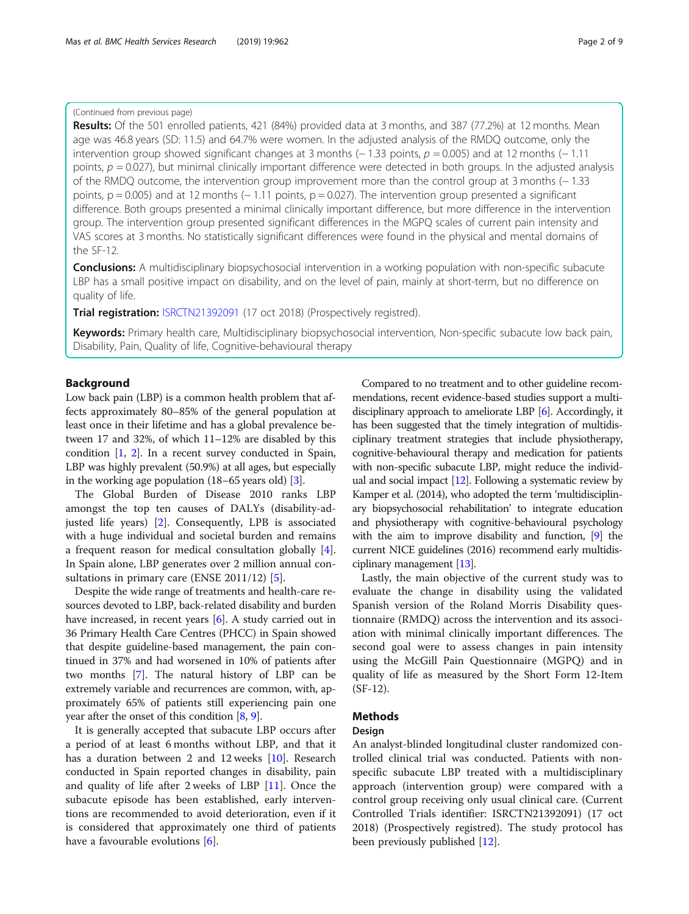# (Continued from previous page)

Results: Of the 501 enrolled patients, 421 (84%) provided data at 3 months, and 387 (77.2%) at 12 months. Mean age was 46.8 years (SD: 11.5) and 64.7% were women. In the adjusted analysis of the RMDQ outcome, only the intervention group showed significant changes at 3 months (− 1.33 points,  $p = 0.005$ ) and at 12 months (− 1.11 points,  $p = 0.027$ ), but minimal clinically important difference were detected in both groups. In the adjusted analysis of the RMDQ outcome, the intervention group improvement more than the control group at 3 months (− 1.33 points, p = 0.005) and at 12 months (− 1.11 points, p = 0.027). The intervention group presented a significant difference. Both groups presented a minimal clinically important difference, but more difference in the intervention group. The intervention group presented significant differences in the MGPQ scales of current pain intensity and VAS scores at 3 months. No statistically significant differences were found in the physical and mental domains of the SF-12.

Conclusions: A multidisciplinary biopsychosocial intervention in a working population with non-specific subacute LBP has a small positive impact on disability, and on the level of pain, mainly at short-term, but no difference on quality of life.

Trial registration: [ISRCTN21392091](http://www.isrctn.com/ISRCTN21392091) (17 oct 2018) (Prospectively registred).

Keywords: Primary health care, Multidisciplinary biopsychosocial intervention, Non-specific subacute low back pain, Disability, Pain, Quality of life, Cognitive-behavioural therapy

# Background

Low back pain (LBP) is a common health problem that affects approximately 80–85% of the general population at least once in their lifetime and has a global prevalence between 17 and 32%, of which 11–12% are disabled by this condition [\[1](#page-7-0), [2](#page-7-0)]. In a recent survey conducted in Spain, LBP was highly prevalent (50.9%) at all ages, but especially in the working age population (18–65 years old) [[3\]](#page-7-0).

The Global Burden of Disease 2010 ranks LBP amongst the top ten causes of DALYs (disability-adjusted life years) [\[2](#page-7-0)]. Consequently, LPB is associated with a huge individual and societal burden and remains a frequent reason for medical consultation globally [\[4](#page-7-0)]. In Spain alone, LBP generates over 2 million annual con-sultations in primary care (ENSE 2011/12) [[5\]](#page-7-0).

Despite the wide range of treatments and health-care resources devoted to LBP, back-related disability and burden have increased, in recent years [[6\]](#page-8-0). A study carried out in 36 Primary Health Care Centres (PHCC) in Spain showed that despite guideline-based management, the pain continued in 37% and had worsened in 10% of patients after two months [[7](#page-8-0)]. The natural history of LBP can be extremely variable and recurrences are common, with, approximately 65% of patients still experiencing pain one year after the onset of this condition [\[8](#page-8-0), [9\]](#page-8-0).

It is generally accepted that subacute LBP occurs after a period of at least 6 months without LBP, and that it has a duration between 2 and 12 weeks [\[10](#page-8-0)]. Research conducted in Spain reported changes in disability, pain and quality of life after 2 weeks of LBP [[11\]](#page-8-0). Once the subacute episode has been established, early interventions are recommended to avoid deterioration, even if it is considered that approximately one third of patients have a favourable evolutions [[6\]](#page-8-0).

Compared to no treatment and to other guideline recommendations, recent evidence-based studies support a multidisciplinary approach to ameliorate LBP [\[6\]](#page-8-0). Accordingly, it has been suggested that the timely integration of multidisciplinary treatment strategies that include physiotherapy, cognitive-behavioural therapy and medication for patients with non-specific subacute LBP, might reduce the individual and social impact [\[12\]](#page-8-0). Following a systematic review by Kamper et al. (2014), who adopted the term 'multidisciplinary biopsychosocial rehabilitation' to integrate education and physiotherapy with cognitive-behavioural psychology with the aim to improve disability and function, [[9](#page-8-0)] the current NICE guidelines (2016) recommend early multidisciplinary management [\[13\]](#page-8-0).

Lastly, the main objective of the current study was to evaluate the change in disability using the validated Spanish version of the Roland Morris Disability questionnaire (RMDQ) across the intervention and its association with minimal clinically important differences. The second goal were to assess changes in pain intensity using the McGill Pain Questionnaire (MGPQ) and in quality of life as measured by the Short Form 12-Item (SF-12).

# Methods

## Design

An analyst-blinded longitudinal cluster randomized controlled clinical trial was conducted. Patients with nonspecific subacute LBP treated with a multidisciplinary approach (intervention group) were compared with a control group receiving only usual clinical care. (Current Controlled Trials identifier: ISRCTN21392091) (17 oct 2018) (Prospectively registred). The study protocol has been previously published [\[12\]](#page-8-0).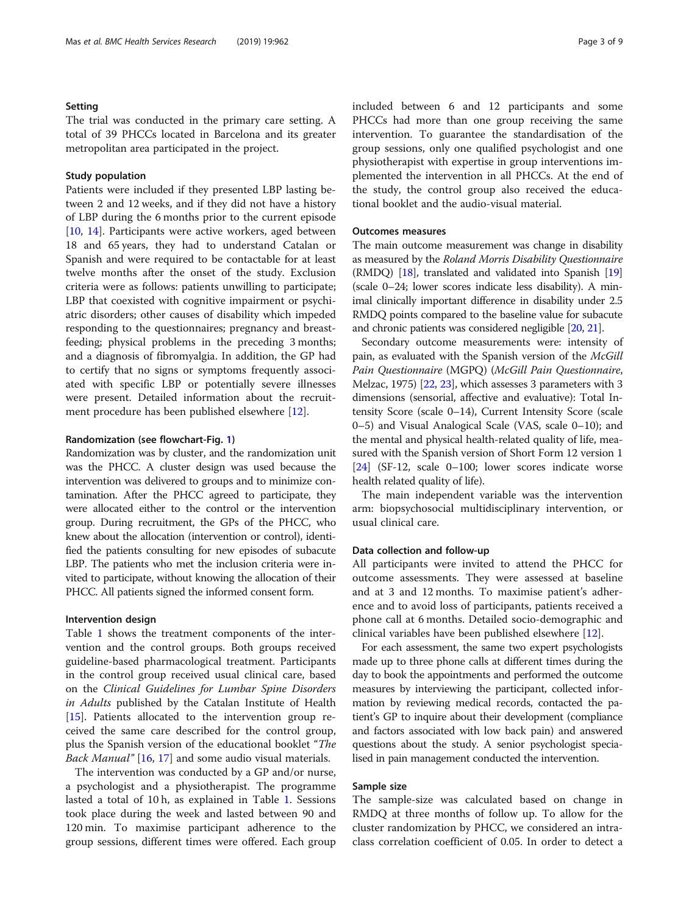# Setting

The trial was conducted in the primary care setting. A total of 39 PHCCs located in Barcelona and its greater metropolitan area participated in the project.

## Study population

Patients were included if they presented LBP lasting between 2 and 12 weeks, and if they did not have a history of LBP during the 6 months prior to the current episode [[10,](#page-8-0) [14](#page-8-0)]. Participants were active workers, aged between 18 and 65 years, they had to understand Catalan or Spanish and were required to be contactable for at least twelve months after the onset of the study. Exclusion criteria were as follows: patients unwilling to participate; LBP that coexisted with cognitive impairment or psychiatric disorders; other causes of disability which impeded responding to the questionnaires; pregnancy and breastfeeding; physical problems in the preceding 3 months; and a diagnosis of fibromyalgia. In addition, the GP had to certify that no signs or symptoms frequently associated with specific LBP or potentially severe illnesses were present. Detailed information about the recruitment procedure has been published elsewhere [\[12\]](#page-8-0).

#### Randomization (see flowchart-Fig. [1\)](#page-3-0)

Randomization was by cluster, and the randomization unit was the PHCC. A cluster design was used because the intervention was delivered to groups and to minimize contamination. After the PHCC agreed to participate, they were allocated either to the control or the intervention group. During recruitment, the GPs of the PHCC, who knew about the allocation (intervention or control), identified the patients consulting for new episodes of subacute LBP. The patients who met the inclusion criteria were invited to participate, without knowing the allocation of their PHCC. All patients signed the informed consent form.

#### Intervention design

Table [1](#page-4-0) shows the treatment components of the intervention and the control groups. Both groups received guideline-based pharmacological treatment. Participants in the control group received usual clinical care, based on the Clinical Guidelines for Lumbar Spine Disorders in Adults published by the Catalan Institute of Health [[15\]](#page-8-0). Patients allocated to the intervention group received the same care described for the control group, plus the Spanish version of the educational booklet "The Back Manual" [[16,](#page-8-0) [17](#page-8-0)] and some audio visual materials.

The intervention was conducted by a GP and/or nurse, a psychologist and a physiotherapist. The programme lasted a total of 10 h, as explained in Table [1](#page-4-0). Sessions took place during the week and lasted between 90 and 120 min. To maximise participant adherence to the group sessions, different times were offered. Each group included between 6 and 12 participants and some PHCCs had more than one group receiving the same intervention. To guarantee the standardisation of the group sessions, only one qualified psychologist and one physiotherapist with expertise in group interventions implemented the intervention in all PHCCs. At the end of the study, the control group also received the educational booklet and the audio-visual material.

# Outcomes measures

The main outcome measurement was change in disability as measured by the Roland Morris Disability Questionnaire (RMDQ) [[18](#page-8-0)], translated and validated into Spanish [\[19](#page-8-0)] (scale 0–24; lower scores indicate less disability). A minimal clinically important difference in disability under 2.5 RMDQ points compared to the baseline value for subacute and chronic patients was considered negligible [[20](#page-8-0), [21](#page-8-0)].

Secondary outcome measurements were: intensity of pain, as evaluated with the Spanish version of the McGill Pain Questionnaire (MGPQ) (McGill Pain Questionnaire, Melzac, 1975) [\[22,](#page-8-0) [23](#page-8-0)], which assesses 3 parameters with 3 dimensions (sensorial, affective and evaluative): Total Intensity Score (scale 0–14), Current Intensity Score (scale 0–5) and Visual Analogical Scale (VAS, scale 0–10); and the mental and physical health-related quality of life, measured with the Spanish version of Short Form 12 version 1 [[24](#page-8-0)] (SF-12, scale 0–100; lower scores indicate worse health related quality of life).

The main independent variable was the intervention arm: biopsychosocial multidisciplinary intervention, or usual clinical care.

#### Data collection and follow-up

All participants were invited to attend the PHCC for outcome assessments. They were assessed at baseline and at 3 and 12 months. To maximise patient's adherence and to avoid loss of participants, patients received a phone call at 6 months. Detailed socio-demographic and clinical variables have been published elsewhere [[12\]](#page-8-0).

For each assessment, the same two expert psychologists made up to three phone calls at different times during the day to book the appointments and performed the outcome measures by interviewing the participant, collected information by reviewing medical records, contacted the patient's GP to inquire about their development (compliance and factors associated with low back pain) and answered questions about the study. A senior psychologist specialised in pain management conducted the intervention.

# Sample size

The sample-size was calculated based on change in RMDQ at three months of follow up. To allow for the cluster randomization by PHCC, we considered an intraclass correlation coefficient of 0.05. In order to detect a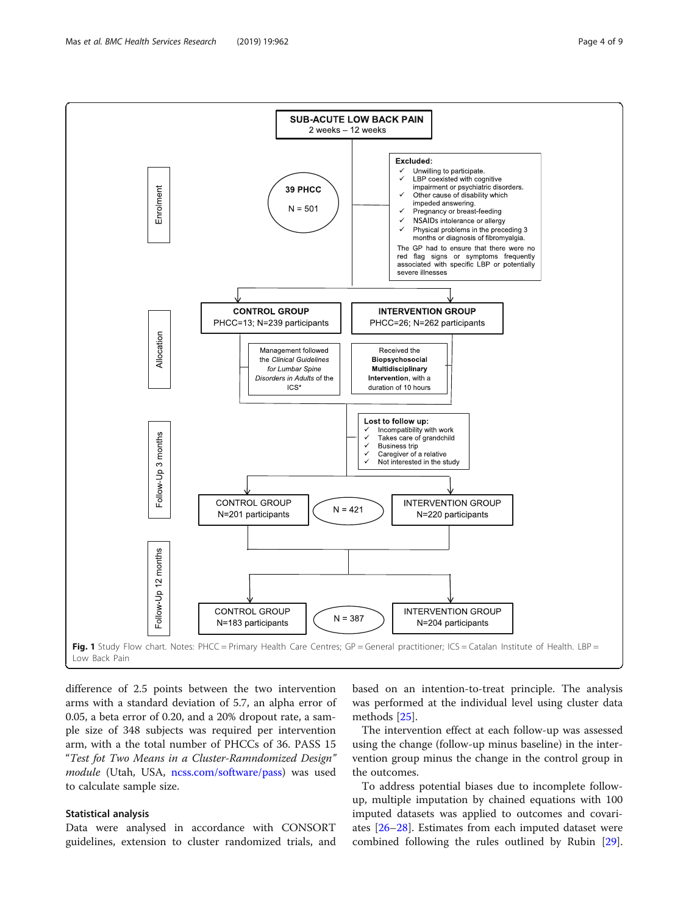<span id="page-3-0"></span>

difference of 2.5 points between the two intervention arms with a standard deviation of 5.7, an alpha error of 0.05, a beta error of 0.20, and a 20% dropout rate, a sample size of 348 subjects was required per intervention arm, with a the total number of PHCCs of 36. PASS 15 "Test fot Two Means in a Cluster-Ramndomized Design" module (Utah, USA, [ncss.com/software/pass\)](http://ncss.com/software/pass) was used to calculate sample size.

### Statistical analysis

Data were analysed in accordance with CONSORT guidelines, extension to cluster randomized trials, and based on an intention-to-treat principle. The analysis was performed at the individual level using cluster data methods [[25\]](#page-8-0).

The intervention effect at each follow-up was assessed using the change (follow-up minus baseline) in the intervention group minus the change in the control group in the outcomes.

To address potential biases due to incomplete followup, multiple imputation by chained equations with 100 imputed datasets was applied to outcomes and covariates [\[26](#page-8-0)–[28\]](#page-8-0). Estimates from each imputed dataset were combined following the rules outlined by Rubin [\[29](#page-8-0)].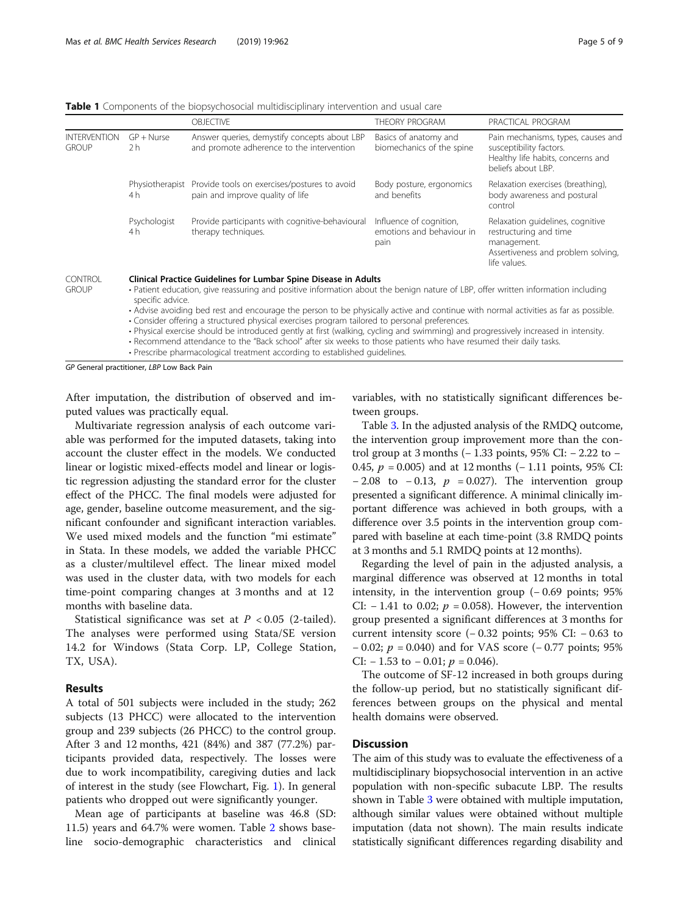<span id="page-4-0"></span>**Table 1** Components of the biopsychosocial multidisciplinary intervention and usual care

|                                     |                                | <b>OBJECTIVE</b>                                                                                                                                                                                     | THEORY PROGRAM                                               | PRACTICAL PROGRAM                                                                                                               |
|-------------------------------------|--------------------------------|------------------------------------------------------------------------------------------------------------------------------------------------------------------------------------------------------|--------------------------------------------------------------|---------------------------------------------------------------------------------------------------------------------------------|
| <b>INTERVENTION</b><br><b>GROUP</b> | $GP + Nurse$<br>2 <sub>h</sub> | Answer queries, demystify concepts about LBP<br>and promote adherence to the intervention                                                                                                            | Basics of anatomy and<br>biomechanics of the spine           | Pain mechanisms, types, causes and<br>susceptibility factors.<br>Healthy life habits, concerns and<br>beliefs about LBP.        |
|                                     | Physiotherapist<br>4 h         | Provide tools on exercises/postures to avoid<br>pain and improve quality of life                                                                                                                     | Body posture, ergonomics<br>and benefits                     | Relaxation exercises (breathing),<br>body awareness and postural<br>control                                                     |
|                                     | Psychologist<br>4 h            | Provide participants with cognitive-behavioural<br>therapy techniques.                                                                                                                               | Influence of cognition,<br>emotions and behaviour in<br>pain | Relaxation quidelines, cognitive<br>restructuring and time<br>management.<br>Assertiveness and problem solving,<br>life values. |
| <b>CONTROL</b><br><b>GROUP</b>      | specific advice.               | Clinical Practice Guidelines for Lumbar Spine Disease in Adults<br>• Patient education, give reassuring and positive information about the benign nature of LBP, offer written information including |                                                              |                                                                                                                                 |

• Advise avoiding bed rest and encourage the person to be physically active and continue with normal activities as far as possible. • Consider offering a structured physical exercises program tailored to personal preferences.

• Physical exercise should be introduced gently at first (walking, cycling and swimming) and progressively increased in intensity. • Recommend attendance to the "Back school" after six weeks to those patients who have resumed their daily tasks.

• Prescribe pharmacological treatment according to established guidelines.

GP General practitioner, LBP Low Back Pain

After imputation, the distribution of observed and imputed values was practically equal.

Multivariate regression analysis of each outcome variable was performed for the imputed datasets, taking into account the cluster effect in the models. We conducted linear or logistic mixed-effects model and linear or logistic regression adjusting the standard error for the cluster effect of the PHCC. The final models were adjusted for age, gender, baseline outcome measurement, and the significant confounder and significant interaction variables. We used mixed models and the function "mi estimate" in Stata. In these models, we added the variable PHCC as a cluster/multilevel effect. The linear mixed model was used in the cluster data, with two models for each time-point comparing changes at 3 months and at 12 months with baseline data.

Statistical significance was set at  $P < 0.05$  (2-tailed). The analyses were performed using Stata/SE version 14.2 for Windows (Stata Corp. LP, College Station, TX, USA).

#### Results

A total of 501 subjects were included in the study; 262 subjects (13 PHCC) were allocated to the intervention group and 239 subjects (26 PHCC) to the control group. After 3 and 12 months, 421 (84%) and 387 (77.2%) participants provided data, respectively. The losses were due to work incompatibility, caregiving duties and lack of interest in the study (see Flowchart, Fig. [1\)](#page-3-0). In general patients who dropped out were significantly younger.

Mean age of participants at baseline was 46.8 (SD: 11.5) years and 64.7% were women. Table [2](#page-5-0) shows baseline socio-demographic characteristics and clinical variables, with no statistically significant differences between groups.

Table [3.](#page-6-0) In the adjusted analysis of the RMDQ outcome, the intervention group improvement more than the control group at 3 months (− 1.33 points, 95% CI: − 2.22 to − 0.45,  $p = 0.005$ ) and at 12 months (− 1.11 points, 95% CI:  $-2.08$  to  $-0.13$ ,  $p = 0.027$ ). The intervention group presented a significant difference. A minimal clinically important difference was achieved in both groups, with a difference over 3.5 points in the intervention group compared with baseline at each time-point (3.8 RMDQ points at 3 months and 5.1 RMDQ points at 12 months).

Regarding the level of pain in the adjusted analysis, a marginal difference was observed at 12 months in total intensity, in the intervention group (− 0.69 points; 95% CI:  $-1.41$  to 0.02;  $p = 0.058$ ). However, the intervention group presented a significant differences at 3 months for current intensity score  $(-0.32 \text{ points}; 95\% \text{ CI: } -0.63 \text{ to }$  $-0.02$ ;  $p = 0.040$ ) and for VAS score ( $-0.77$  points; 95% CI:  $-1.53$  to  $-0.01$ ;  $p = 0.046$ ).

The outcome of SF-12 increased in both groups during the follow-up period, but no statistically significant differences between groups on the physical and mental health domains were observed.

# **Discussion**

The aim of this study was to evaluate the effectiveness of a multidisciplinary biopsychosocial intervention in an active population with non-specific subacute LBP. The results shown in Table [3](#page-6-0) were obtained with multiple imputation, although similar values were obtained without multiple imputation (data not shown). The main results indicate statistically significant differences regarding disability and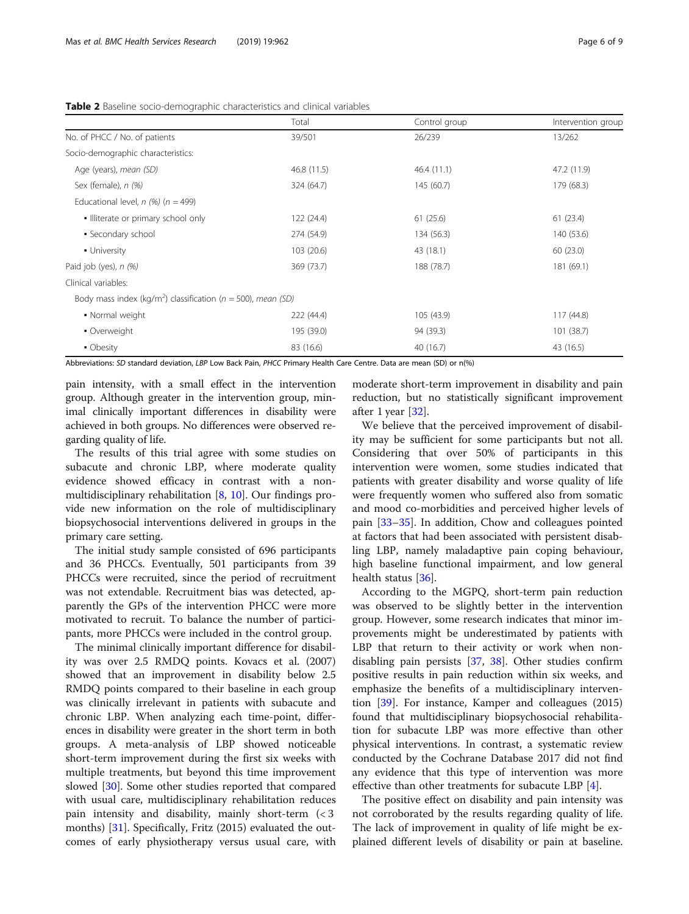| Total       | Control group                                                                | Intervention group |
|-------------|------------------------------------------------------------------------------|--------------------|
| 39/501      | 26/239                                                                       | 13/262             |
|             |                                                                              |                    |
| 46.8 (11.5) | 46.4(11.1)                                                                   | 47.2 (11.9)        |
| 324 (64.7)  | 145 (60.7)                                                                   | 179 (68.3)         |
|             |                                                                              |                    |
| 122 (24.4)  | 61(25.6)                                                                     | 61(23.4)           |
| 274 (54.9)  | 134 (56.3)                                                                   | 140 (53.6)         |
| 103 (20.6)  | 43 (18.1)                                                                    | 60(23.0)           |
| 369 (73.7)  | 188 (78.7)                                                                   | 181 (69.1)         |
|             |                                                                              |                    |
|             |                                                                              |                    |
| 222 (44.4)  | 105 (43.9)                                                                   | 117 (44.8)         |
| 195 (39.0)  | 94 (39.3)                                                                    | 101(38.7)          |
| 83 (16.6)   | 40 (16.7)                                                                    | 43 (16.5)          |
|             | Body mass index (kg/m <sup>2</sup> ) classification ( $n = 500$ ), mean (SD) |                    |

<span id="page-5-0"></span>Table 2 Baseline socio-demographic characteristics and clinical variables

Abbreviations: SD standard deviation, LBP Low Back Pain, PHCC Primary Health Care Centre. Data are mean (SD) or n(%)

pain intensity, with a small effect in the intervention group. Although greater in the intervention group, minimal clinically important differences in disability were achieved in both groups. No differences were observed regarding quality of life.

The results of this trial agree with some studies on subacute and chronic LBP, where moderate quality evidence showed efficacy in contrast with a nonmultidisciplinary rehabilitation [\[8,](#page-8-0) [10](#page-8-0)]. Our findings provide new information on the role of multidisciplinary biopsychosocial interventions delivered in groups in the primary care setting.

The initial study sample consisted of 696 participants and 36 PHCCs. Eventually, 501 participants from 39 PHCCs were recruited, since the period of recruitment was not extendable. Recruitment bias was detected, apparently the GPs of the intervention PHCC were more motivated to recruit. To balance the number of participants, more PHCCs were included in the control group.

The minimal clinically important difference for disability was over 2.5 RMDQ points. Kovacs et al. (2007) showed that an improvement in disability below 2.5 RMDQ points compared to their baseline in each group was clinically irrelevant in patients with subacute and chronic LBP. When analyzing each time-point, differences in disability were greater in the short term in both groups. A meta-analysis of LBP showed noticeable short-term improvement during the first six weeks with multiple treatments, but beyond this time improvement slowed [\[30\]](#page-8-0). Some other studies reported that compared with usual care, multidisciplinary rehabilitation reduces pain intensity and disability, mainly short-term (< 3 months) [[31\]](#page-8-0). Specifically, Fritz (2015) evaluated the outcomes of early physiotherapy versus usual care, with

moderate short-term improvement in disability and pain reduction, but no statistically significant improvement after 1 year [\[32\]](#page-8-0).

We believe that the perceived improvement of disability may be sufficient for some participants but not all. Considering that over 50% of participants in this intervention were women, some studies indicated that patients with greater disability and worse quality of life were frequently women who suffered also from somatic and mood co-morbidities and perceived higher levels of pain [\[33](#page-8-0)–[35\]](#page-8-0). In addition, Chow and colleagues pointed at factors that had been associated with persistent disabling LBP, namely maladaptive pain coping behaviour, high baseline functional impairment, and low general health status [[36](#page-8-0)].

According to the MGPQ, short-term pain reduction was observed to be slightly better in the intervention group. However, some research indicates that minor improvements might be underestimated by patients with LBP that return to their activity or work when nondisabling pain persists [[37,](#page-8-0) [38\]](#page-8-0). Other studies confirm positive results in pain reduction within six weeks, and emphasize the benefits of a multidisciplinary intervention  $[39]$ . For instance, Kamper and colleagues  $(2015)$ found that multidisciplinary biopsychosocial rehabilitation for subacute LBP was more effective than other physical interventions. In contrast, a systematic review conducted by the Cochrane Database 2017 did not find any evidence that this type of intervention was more effective than other treatments for subacute LBP [\[4](#page-7-0)].

The positive effect on disability and pain intensity was not corroborated by the results regarding quality of life. The lack of improvement in quality of life might be explained different levels of disability or pain at baseline.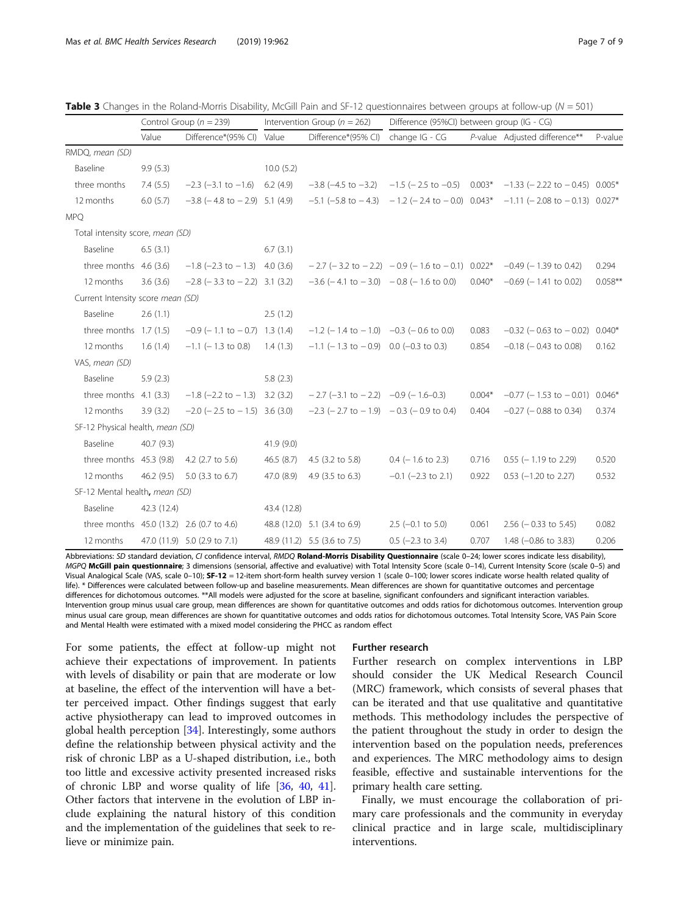| Difference*(95% CI)<br>Difference*(95% CI)<br>change IG - CG<br>P-value Adjusted difference**<br>Value<br>Value<br>P-value<br>RMDQ, mean (SD)<br>Baseline<br>10.0(5.2)<br>9.9(5.3)<br>three months<br>7.4(5.5)<br>$-2.3$ ( $-3.1$ to $-1.6$ ) 6.2 (4.9)<br>$-3.8$ (-4.5 to $-3.2$ ) $-1.5$ (-2.5 to $-0.5$ ) 0.003*<br>$-1.33$ (-2.22 to $-0.45$ ) 0.005*<br>$-5.1$ (-5.8 to $-4.3$ ) $-1.2$ (-2.4 to $-0.0$ ) 0.043*<br>12 months<br>6.0(5.7)<br>$-3.8$ ( $-4.8$ to $-2.9$ ) 5.1 (4.9)<br>$-1.11$ (-2.08 to $-0.13$ ) 0.027*<br><b>MPO</b><br>Total intensity score, mean (SD)<br>Baseline<br>6.5(3.1)<br>6.7(3.1) |
|---------------------------------------------------------------------------------------------------------------------------------------------------------------------------------------------------------------------------------------------------------------------------------------------------------------------------------------------------------------------------------------------------------------------------------------------------------------------------------------------------------------------------------------------------------------------------------------------------------------------|
|                                                                                                                                                                                                                                                                                                                                                                                                                                                                                                                                                                                                                     |
|                                                                                                                                                                                                                                                                                                                                                                                                                                                                                                                                                                                                                     |
|                                                                                                                                                                                                                                                                                                                                                                                                                                                                                                                                                                                                                     |
|                                                                                                                                                                                                                                                                                                                                                                                                                                                                                                                                                                                                                     |
|                                                                                                                                                                                                                                                                                                                                                                                                                                                                                                                                                                                                                     |
|                                                                                                                                                                                                                                                                                                                                                                                                                                                                                                                                                                                                                     |
|                                                                                                                                                                                                                                                                                                                                                                                                                                                                                                                                                                                                                     |
|                                                                                                                                                                                                                                                                                                                                                                                                                                                                                                                                                                                                                     |
| three months $4.6$ (3.6)<br>$-1.8$ (-2.3 to $-1.3$ ) 4.0 (3.6)<br>$-2.7$ (-3.2 to $-2.2$ ) $-0.9$ (-1.6 to $-0.1$ ) 0.022*<br>$-0.49$ ( $-1.39$ to 0.42)<br>0.294                                                                                                                                                                                                                                                                                                                                                                                                                                                   |
| $-3.6$ ( $-4.1$ to $-3.0$ ) $-0.8$ ( $-1.6$ to 0.0)<br>$0.040*$<br>$0.058**$<br>12 months<br>$-2.8$ ( $-3.3$ to $-2.2$ ) 3.1 (3.2)<br>$-0.69$ ( $-1.41$ to 0.02)<br>3.6(3.6)                                                                                                                                                                                                                                                                                                                                                                                                                                        |
| Current Intensity score mean (SD)                                                                                                                                                                                                                                                                                                                                                                                                                                                                                                                                                                                   |
| Baseline<br>2.6(1.1)<br>2.5(1.2)                                                                                                                                                                                                                                                                                                                                                                                                                                                                                                                                                                                    |
| $-0.9$ (-1.1 to $-0.7$ ) 1.3 (1.4)<br>three months $1.7(1.5)$<br>$-1.2$ (-1.4 to $-1.0$ ) $-0.3$ (-0.6 to 0.0)<br>0.083<br>$-0.32$ ( $-0.63$ to $-0.02$ )<br>$0.040*$                                                                                                                                                                                                                                                                                                                                                                                                                                               |
| 12 months<br>$-1.1$ (-1.3 to $-0.9$ ) 0.0 (-0.3 to 0.3)<br>0.854<br>1.6(1.4)<br>$-1.1$ ( $-1.3$ to 0.8)<br>1.4(1.3)<br>$-0.18$ ( $-0.43$ to 0.08)<br>0.162                                                                                                                                                                                                                                                                                                                                                                                                                                                          |
| VAS, mean (SD)                                                                                                                                                                                                                                                                                                                                                                                                                                                                                                                                                                                                      |
| Baseline<br>5.9(2.3)<br>5.8(2.3)                                                                                                                                                                                                                                                                                                                                                                                                                                                                                                                                                                                    |
| $-2.7$ (-3.1 to $-2.2$ ) $-0.9$ (-1.6-0.3)<br>$0.004*$<br>three months $4.1$ (3.3)<br>$-1.8$ (-2.2 to $-1.3$ ) 3.2 (3.2)<br>$-0.77$ (-1.53 to $-0.01$ ) 0.046*                                                                                                                                                                                                                                                                                                                                                                                                                                                      |
| 12 months<br>$-2.0$ ( $-2.5$ to $-1.5$ ) 3.6 (3.0)<br>$-2.3$ (-2.7 to $-1.9$ ) -0.3 (-0.9 to 0.4)<br>0.404<br>3.9(3.2)<br>$-0.27$ ( $-0.88$ to 0.34)<br>0.374                                                                                                                                                                                                                                                                                                                                                                                                                                                       |
| SF-12 Physical health, mean (SD)                                                                                                                                                                                                                                                                                                                                                                                                                                                                                                                                                                                    |
| Baseline<br>40.7(9.3)<br>41.9(9.0)                                                                                                                                                                                                                                                                                                                                                                                                                                                                                                                                                                                  |
| three months $45.3$ (9.8)<br>4.2 (2.7 to 5.6)<br>$0.4$ (-1.6 to 2.3)<br>$0.55$ ( $-1.19$ to 2.29)<br>46.5(8.7)<br>4.5 $(3.2 \text{ to } 5.8)$<br>0.716<br>0.520                                                                                                                                                                                                                                                                                                                                                                                                                                                     |
| 12 months<br>46.2(9.5)<br>5.0 (3.3 to 6.7)<br>47.0 (8.9)<br>4.9 (3.5 to 6.3)<br>$-0.1$ ( $-2.3$ to 2.1)<br>0.922<br>$0.53$ (-1.20 to 2.27)<br>0.532                                                                                                                                                                                                                                                                                                                                                                                                                                                                 |
| SF-12 Mental health, mean (SD)                                                                                                                                                                                                                                                                                                                                                                                                                                                                                                                                                                                      |
| Baseline<br>42.3 (12.4)<br>43.4 (12.8)                                                                                                                                                                                                                                                                                                                                                                                                                                                                                                                                                                              |
| three months 45.0 (13.2) 2.6 (0.7 to 4.6)<br>48.8 (12.0) 5.1 (3.4 to 6.9)<br>$2.5$ (-0.1 to 5.0)<br>0.061<br>$2.56$ ( $-0.33$ to 5.45)<br>0.082                                                                                                                                                                                                                                                                                                                                                                                                                                                                     |
| 12 months<br>48.9 (11.2) 5.5 (3.6 to 7.5)<br>47.0 (11.9) 5.0 (2.9 to 7.1)<br>$0.5$ (-2.3 to 3.4)<br>1.48 $(-0.86$ to 3.83)<br>0.707<br>0.206                                                                                                                                                                                                                                                                                                                                                                                                                                                                        |

<span id="page-6-0"></span>**Table 3** Changes in the Roland-Morris Disability, McGill Pain and SF-12 questionnaires between groups at follow-up ( $N = 501$ )

Abbreviations: SD standard deviation, CI confidence interval, RMDQ Roland-Morris Disability Questionnaire (scale 0-24; lower scores indicate less disability), MGPQ McGill pain questionnaire; 3 dimensions (sensorial, affective and evaluative) with Total Intensity Score (scale 0-14), Current Intensity Score (scale 0-5) and Visual Analogical Scale (VAS, scale 0-10); SF-12 = 12-item short-form health survey version 1 (scale 0-100; lower scores indicate worse health related quality of life). \* Differences were calculated between follow-up and baseline measurements. Mean differences are shown for quantitative outcomes and percentage differences for dichotomous outcomes. \*\*All models were adjusted for the score at baseline, significant confounders and significant interaction variables. Intervention group minus usual care group, mean differences are shown for quantitative outcomes and odds ratios for dichotomous outcomes. Intervention group minus usual care group, mean differences are shown for quantitative outcomes and odds ratios for dichotomous outcomes. Total Intensity Score, VAS Pain Score and Mental Health were estimated with a mixed model considering the PHCC as random effect

For some patients, the effect at follow-up might not achieve their expectations of improvement. In patients with levels of disability or pain that are moderate or low at baseline, the effect of the intervention will have a better perceived impact. Other findings suggest that early active physiotherapy can lead to improved outcomes in global health perception [[34](#page-8-0)]. Interestingly, some authors define the relationship between physical activity and the risk of chronic LBP as a U-shaped distribution, i.e., both too little and excessive activity presented increased risks of chronic LBP and worse quality of life [[36](#page-8-0), [40](#page-8-0), [41](#page-8-0)]. Other factors that intervene in the evolution of LBP include explaining the natural history of this condition and the implementation of the guidelines that seek to relieve or minimize pain.

#### Further research

Further research on complex interventions in LBP should consider the UK Medical Research Council (MRC) framework, which consists of several phases that can be iterated and that use qualitative and quantitative methods. This methodology includes the perspective of the patient throughout the study in order to design the intervention based on the population needs, preferences and experiences. The MRC methodology aims to design feasible, effective and sustainable interventions for the primary health care setting.

Finally, we must encourage the collaboration of primary care professionals and the community in everyday clinical practice and in large scale, multidisciplinary interventions.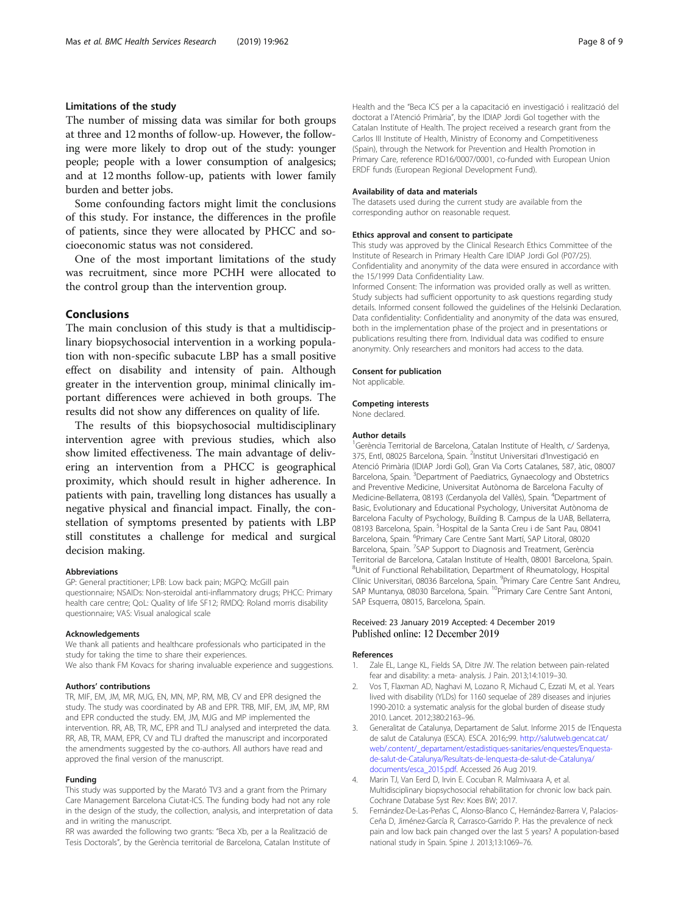# <span id="page-7-0"></span>Limitations of the study

The number of missing data was similar for both groups at three and 12 months of follow-up. However, the following were more likely to drop out of the study: younger people; people with a lower consumption of analgesics; and at 12 months follow-up, patients with lower family burden and better jobs.

Some confounding factors might limit the conclusions of this study. For instance, the differences in the profile of patients, since they were allocated by PHCC and socioeconomic status was not considered.

One of the most important limitations of the study was recruitment, since more PCHH were allocated to the control group than the intervention group.

### **Conclusions**

The main conclusion of this study is that a multidisciplinary biopsychosocial intervention in a working population with non-specific subacute LBP has a small positive effect on disability and intensity of pain. Although greater in the intervention group, minimal clinically important differences were achieved in both groups. The results did not show any differences on quality of life.

The results of this biopsychosocial multidisciplinary intervention agree with previous studies, which also show limited effectiveness. The main advantage of delivering an intervention from a PHCC is geographical proximity, which should result in higher adherence. In patients with pain, travelling long distances has usually a negative physical and financial impact. Finally, the constellation of symptoms presented by patients with LBP still constitutes a challenge for medical and surgical decision making.

#### Abbreviations

GP: General practitioner; LPB: Low back pain; MGPQ: McGill pain questionnaire; NSAIDs: Non-steroidal anti-inflammatory drugs; PHCC: Primary health care centre; QoL: Quality of life SF12; RMDQ: Roland morris disability questionnaire; VAS: Visual analogical scale

#### Acknowledgements

We thank all patients and healthcare professionals who participated in the study for taking the time to share their experiences.

We also thank FM Kovacs for sharing invaluable experience and suggestions.

#### Authors' contributions

TR, MIF, EM, JM, MR, MJG, EN, MN, MP, RM, MB, CV and EPR designed the study. The study was coordinated by AB and EPR. TRB, MIF, EM, JM, MP, RM and EPR conducted the study. EM, JM, MJG and MP implemented the intervention. RR, AB, TR, MC, EPR and TLJ analysed and interpreted the data. RR, AB, TR, MAM, EPR, CV and TLJ drafted the manuscript and incorporated the amendments suggested by the co-authors. All authors have read and approved the final version of the manuscript.

#### Funding

This study was supported by the Marató TV3 and a grant from the Primary Care Management Barcelona Ciutat-ICS. The funding body had not any role in the design of the study, the collection, analysis, and interpretation of data and in writing the manuscript.

RR was awarded the following two grants: "Beca Xb, per a la Realització de Tesis Doctorals", by the Gerència territorial de Barcelona, Catalan Institute of Health and the "Beca ICS per a la capacitació en investigació i realització del doctorat a l'Atenció Primària", by the IDIAP Jordi Gol together with the Catalan Institute of Health. The project received a research grant from the Carlos III Institute of Health, Ministry of Economy and Competitiveness (Spain), through the Network for Prevention and Health Promotion in Primary Care, reference RD16/0007/0001, co-funded with European Union ERDF funds (European Regional Development Fund).

#### Availability of data and materials

The datasets used during the current study are available from the corresponding author on reasonable request.

#### Ethics approval and consent to participate

This study was approved by the Clinical Research Ethics Committee of the Institute of Research in Primary Health Care IDIAP Jordi Gol (P07/25). Confidentiality and anonymity of the data were ensured in accordance with the 15/1999 Data Confidentiality Law.

Informed Consent: The information was provided orally as well as written. Study subjects had sufficient opportunity to ask questions regarding study details. Informed consent followed the guidelines of the Helsinki Declaration. Data confidentiality: Confidentiality and anonymity of the data was ensured, both in the implementation phase of the project and in presentations or publications resulting there from. Individual data was codified to ensure anonymity. Only researchers and monitors had access to the data.

#### Consent for publication

Not applicable.

# Competing interests

None declared.

#### Author details

<sup>1</sup>Gerència Territorial de Barcelona, Catalan Institute of Health, c/ Sardenya, 375, Entl, 08025 Barcelona, Spain. <sup>2</sup>Institut Universitari d'Investigació en Atenció Primària (IDIAP Jordi Gol), Gran Via Corts Catalanes, 587, àtic, 08007 Barcelona, Spain. <sup>3</sup>Department of Paediatrics, Gynaecology and Obstetrics and Preventive Medicine, Universitat Autònoma de Barcelona Faculty of Medicine-Bellaterra, 08193 (Cerdanyola del Vallès), Spain. <sup>4</sup>Department of Basic, Evolutionary and Educational Psychology, Universitat Autònoma de Barcelona Faculty of Psychology, Building B. Campus de la UAB, Bellaterra, 08193 Barcelona, Spain. <sup>5</sup> Hospital de la Santa Creu i de Sant Pau, 08041 Barcelona, Spain. <sup>6</sup>Primary Care Centre Sant Martí, SAP Litoral, 08020 Barcelona, Spain. <sup>7</sup>SAP Support to Diagnosis and Treatment, Gerència Territorial de Barcelona, Catalan Institute of Health, 08001 Barcelona, Spain. <sup>8</sup>Unit of Functional Rehabilitation, Department of Rheumatology, Hospital Clínic Universitari, 08036 Barcelona, Spain. <sup>9</sup>Primary Care Centre Sant Andreu SAP Muntanya, 08030 Barcelona, Spain. <sup>10</sup>Primary Care Centre Sant Antoni, SAP Esquerra, 08015, Barcelona, Spain.

#### Received: 23 January 2019 Accepted: 4 December 2019 Published online: 12 December 2019

#### References

- 1. Zale EL, Lange KL, Fields SA, Ditre JW. The relation between pain-related fear and disability: a meta- analysis. J Pain. 2013;14:1019–30.
- 2. Vos T, Flaxman AD, Naghavi M, Lozano R, Michaud C, Ezzati M, et al. Years lived with disability (YLDs) for 1160 sequelae of 289 diseases and injuries 1990-2010: a systematic analysis for the global burden of disease study 2010. Lancet. 2012;380:2163–96.
- 3. Generalitat de Catalunya, Departament de Salut. Informe 2015 de l'Enquesta de salut de Catalunya (ESCA). ESCA. 2016;:99. [http://salutweb.gencat.cat/](http://salutweb.gencat.cat/web/.content/_departament/estadistiques-sanitaries/enquestes/Enquesta-de-salut-de-Catalunya/Resultats-de-lenquesta-de-salut-de-Catalunya/documents/esca_2015.pdf) [web/.content/\\_departament/estadistiques-sanitaries/enquestes/Enquesta](http://salutweb.gencat.cat/web/.content/_departament/estadistiques-sanitaries/enquestes/Enquesta-de-salut-de-Catalunya/Resultats-de-lenquesta-de-salut-de-Catalunya/documents/esca_2015.pdf)[de-salut-de-Catalunya/Resultats-de-lenquesta-de-salut-de-Catalunya/](http://salutweb.gencat.cat/web/.content/_departament/estadistiques-sanitaries/enquestes/Enquesta-de-salut-de-Catalunya/Resultats-de-lenquesta-de-salut-de-Catalunya/documents/esca_2015.pdf) [documents/esca\\_2015.pdf.](http://salutweb.gencat.cat/web/.content/_departament/estadistiques-sanitaries/enquestes/Enquesta-de-salut-de-Catalunya/Resultats-de-lenquesta-de-salut-de-Catalunya/documents/esca_2015.pdf) Accessed 26 Aug 2019.
- 4. Marin TJ, Van Eerd D, Irvin E. Cocuban R. Malmivaara A, et al. Multidisciplinary biopsychosocial rehabilitation for chronic low back pain. Cochrane Database Syst Rev: Koes BW; 2017.
- 5. Fernández-De-Las-Peñas C, Alonso-Blanco C, Hernández-Barrera V, Palacios-Ceña D, Jiménez-García R, Carrasco-Garrido P. Has the prevalence of neck pain and low back pain changed over the last 5 years? A population-based national study in Spain. Spine J. 2013;13:1069–76.